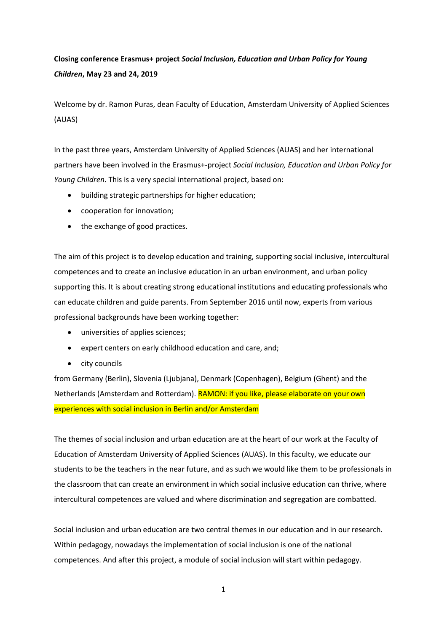## **Closing conference Erasmus+ project** *Social Inclusion, Education and Urban Policy for Young Children***, May 23 and 24, 2019**

Welcome by dr. Ramon Puras, dean Faculty of Education, Amsterdam University of Applied Sciences (AUAS)

In the past three years, Amsterdam University of Applied Sciences (AUAS) and her international partners have been involved in the Erasmus+-project *Social Inclusion, Education and Urban Policy for Young Children*. This is a very special international project, based on:

- building strategic partnerships for higher education;
- cooperation for innovation;
- the exchange of good practices.

The aim of this project is to develop education and training, supporting social inclusive, intercultural competences and to create an inclusive education in an urban environment, and urban policy supporting this. It is about creating strong educational institutions and educating professionals who can educate children and guide parents. From September 2016 until now, experts from various professional backgrounds have been working together:

- universities of applies sciences;
- expert centers on early childhood education and care, and;
- city councils

from Germany (Berlin), Slovenia (Ljubjana), Denmark (Copenhagen), Belgium (Ghent) and the Netherlands (Amsterdam and Rotterdam). RAMON: if you like, please elaborate on your own experiences with social inclusion in Berlin and/or Amsterdam

The themes of social inclusion and urban education are at the heart of our work at the Faculty of Education of Amsterdam University of Applied Sciences (AUAS). In this faculty, we educate our students to be the teachers in the near future, and as such we would like them to be professionals in the classroom that can create an environment in which social inclusive education can thrive, where intercultural competences are valued and where discrimination and segregation are combatted.

Social inclusion and urban education are two central themes in our education and in our research. Within pedagogy, nowadays the implementation of social inclusion is one of the national competences. And after this project, a module of social inclusion will start within pedagogy.